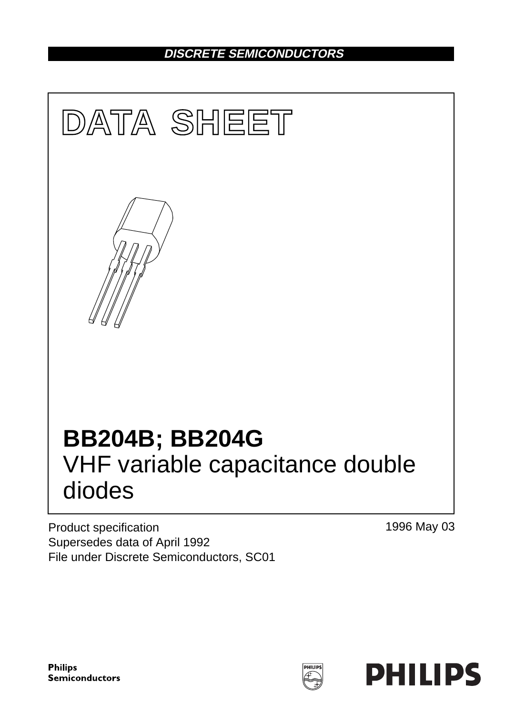# **DISCRETE SEMICONDUCTORS**



Product specification Supersedes data of April 1992 File under Discrete Semiconductors, SC01 1996 May 03

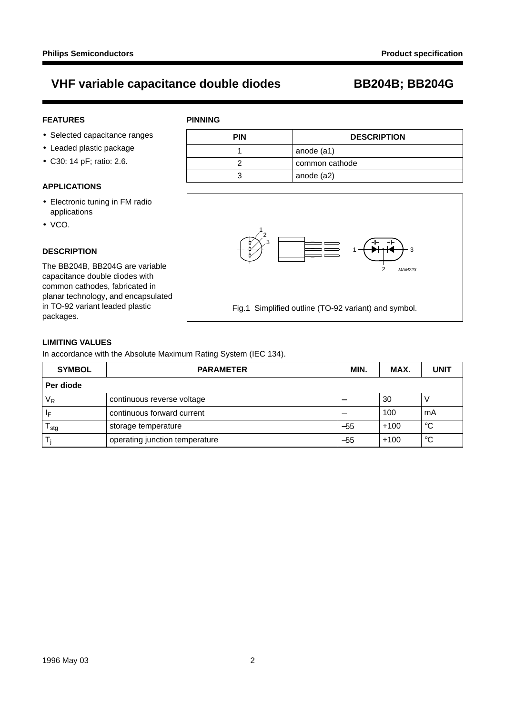**PINNING**

### **FEATURES**

- Selected capacitance ranges
- Leaded plastic package
- C30: 14 pF; ratio: 2.6.

#### **APPLICATIONS**

- Electronic tuning in FM radio applications
- VCO.

#### **DESCRIPTION**

The BB204B, BB204G are variable capacitance double diodes with common cathodes, fabricated in planar technology, and encapsulated in TO-92 variant leaded plastic packages.

| <b>PIN</b> | <b>DESCRIPTION</b> |
|------------|--------------------|
|            | anode (a1)         |
|            | common cathode     |
|            | anode (a2)         |



### **LIMITING VALUES**

In accordance with the Absolute Maximum Rating System (IEC 134).

| <b>SYMBOL</b>                | <b>PARAMETER</b>               | MIN.  | MAX.   | <b>UNIT</b> |  |  |  |
|------------------------------|--------------------------------|-------|--------|-------------|--|--|--|
| Per diode                    |                                |       |        |             |  |  |  |
| $V_R$                        | continuous reverse voltage     |       | 30     |             |  |  |  |
| $\mathsf{I}_\mathsf{F}$      | continuous forward current     |       | 100    | mA          |  |  |  |
| $^{\cdot}$ T $_{\text{stg}}$ | storage temperature            | $-55$ | $+100$ | °C          |  |  |  |
| Ti                           | operating junction temperature | $-55$ | $+100$ | °C          |  |  |  |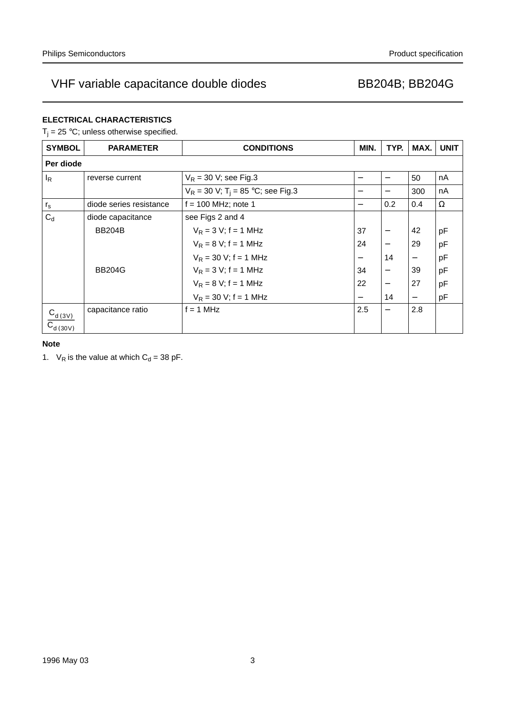### **ELECTRICAL CHARACTERISTICS**

 $T_i = 25 °C$ ; unless otherwise specified.

| <b>SYMBOL</b>           | <b>PARAMETER</b>        | <b>CONDITIONS</b>                                | MIN.                     | TYP. | MAX.                     | <b>UNIT</b> |
|-------------------------|-------------------------|--------------------------------------------------|--------------------------|------|--------------------------|-------------|
| Per diode               |                         |                                                  |                          |      |                          |             |
| $I_R$                   | reverse current         | $V_R$ = 30 V; see Fig.3                          | $\overline{\phantom{0}}$ | —    | 50                       | nA          |
|                         |                         | $V_R = 30 V$ ; T <sub>i</sub> = 85 °C; see Fig.3 | —                        |      | 300                      | nA          |
| $r_{\rm s}$             | diode series resistance | $f = 100$ MHz; note 1                            |                          | 0.2  | 0.4                      | $\Omega$    |
| $C_d$                   | diode capacitance       | see Figs 2 and 4                                 |                          |      |                          |             |
|                         | <b>BB204B</b>           | $V_R = 3 V$ ; f = 1 MHz                          | 37                       |      | 42                       | pF          |
|                         |                         | $V_R = 8 V$ ; f = 1 MHz                          | 24                       |      | 29                       | pF          |
|                         |                         | $V_R = 30 V$ ; f = 1 MHz                         | $\overline{\phantom{m}}$ | 14   |                          | pF          |
|                         | <b>BB204G</b>           | $V_R = 3 V$ ; f = 1 MHz                          | 34                       | —    | 39                       | pF          |
|                         |                         | $V_R = 8 V$ ; f = 1 MHz                          | 22                       |      | 27                       | pF          |
|                         |                         | $V_R = 30 V$ ; f = 1 MHz                         | $\qquad \qquad -$        | 14   | $\overline{\phantom{m}}$ | pF          |
| $C_{d(3V)}$             | capacitance ratio       | $= 1$ MHz                                        | 2.5                      | —    | 2.8                      |             |
| $\overline{C}_{d(30V)}$ |                         |                                                  |                          |      |                          |             |

### **Note**

1.  $V_R$  is the value at which  $C_d = 38$  pF.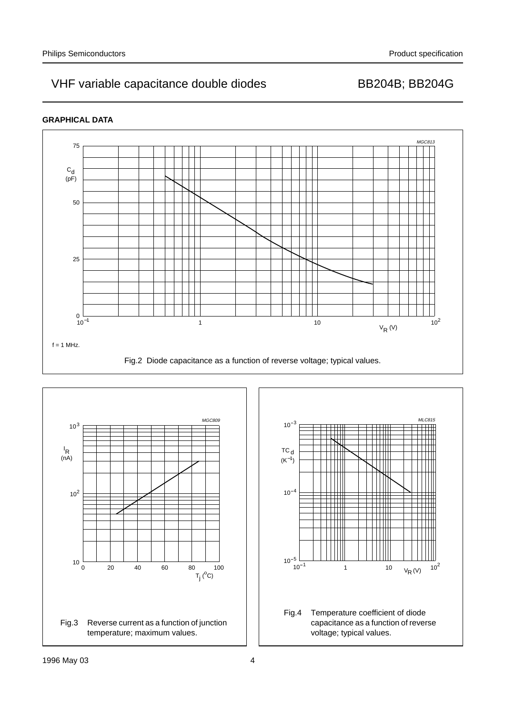### **GRAPHICAL DATA**